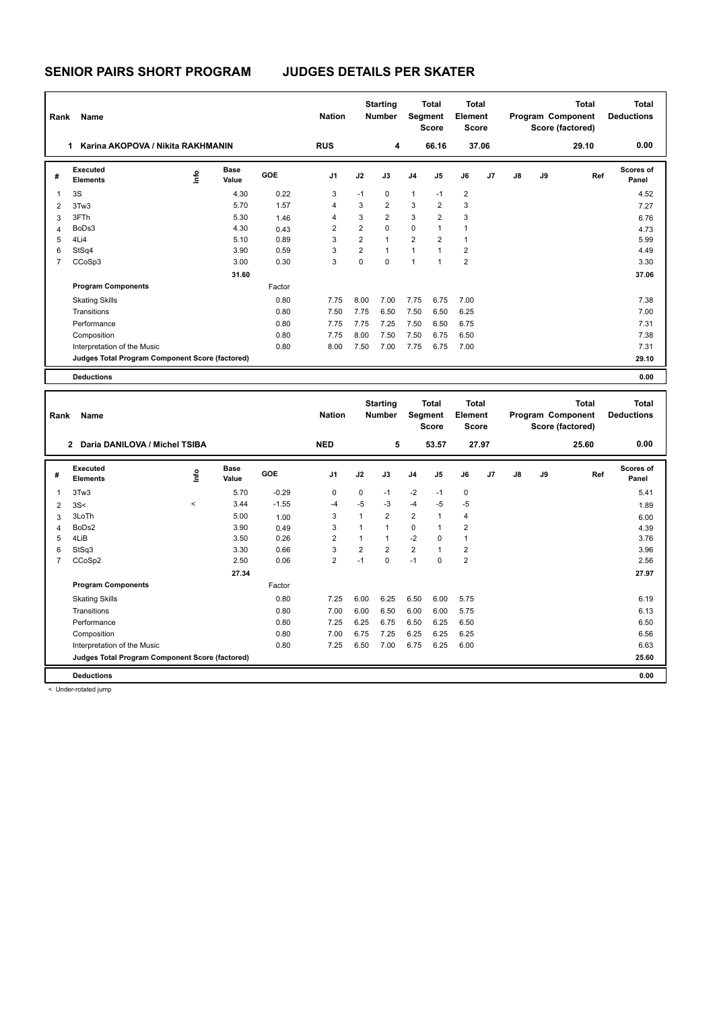| Rank           | Name                                            |      |                      |        | <b>Nation</b>  |                | <b>Starting</b><br><b>Number</b> | Segment        | <b>Total</b><br><b>Score</b> | <b>Total</b><br>Element<br>Score |                |    |    | <b>Total</b><br>Program Component<br>Score (factored) | <b>Total</b><br><b>Deductions</b> |
|----------------|-------------------------------------------------|------|----------------------|--------|----------------|----------------|----------------------------------|----------------|------------------------------|----------------------------------|----------------|----|----|-------------------------------------------------------|-----------------------------------|
|                | Karina AKOPOVA / Nikita RAKHMANIN<br>1.         |      |                      |        | <b>RUS</b>     |                | 4                                |                | 66.16                        |                                  | 37.06          |    |    | 29.10                                                 | 0.00                              |
| #              | Executed<br><b>Elements</b>                     | ١mfo | <b>Base</b><br>Value | GOE    | J <sub>1</sub> | J2             | J3                               | J <sub>4</sub> | J <sub>5</sub>               | J6                               | J <sub>7</sub> | J8 | J9 | Ref                                                   | <b>Scores of</b><br>Panel         |
| $\mathbf{1}$   | 3S                                              |      | 4.30                 | 0.22   | 3              | $-1$           | $\mathbf 0$                      | $\mathbf{1}$   | $-1$                         | $\overline{2}$                   |                |    |    |                                                       | 4.52                              |
| 2              | 3Tw3                                            |      | 5.70                 | 1.57   | $\overline{4}$ | 3              | $\overline{2}$                   | 3              | $\overline{2}$               | 3                                |                |    |    |                                                       | 7.27                              |
| 3              | 3FTh                                            |      | 5.30                 | 1.46   | 4              | 3              | $\overline{2}$                   | 3              | $\overline{2}$               | 3                                |                |    |    |                                                       | 6.76                              |
| 4              | BoDs3                                           |      | 4.30                 | 0.43   | 2              | $\overline{2}$ | $\Omega$                         | 0              | $\overline{1}$               | $\mathbf{1}$                     |                |    |    |                                                       | 4.73                              |
| 5              | 4Li4                                            |      | 5.10                 | 0.89   | 3              | $\overline{2}$ | $\mathbf{1}$                     | $\overline{2}$ | $\overline{2}$               | $\mathbf{1}$                     |                |    |    |                                                       | 5.99                              |
| 6              | StSq4                                           |      | 3.90                 | 0.59   | 3              | $\overline{2}$ | $\mathbf{1}$                     | $\mathbf{1}$   | 1                            | $\overline{2}$                   |                |    |    |                                                       | 4.49                              |
| $\overline{7}$ | CCoSp3                                          |      | 3.00                 | 0.30   | 3              | $\mathbf 0$    | $\Omega$                         | $\overline{1}$ | $\overline{ }$               | $\overline{2}$                   |                |    |    |                                                       | 3.30                              |
|                |                                                 |      | 31.60                |        |                |                |                                  |                |                              |                                  |                |    |    |                                                       | 37.06                             |
|                | <b>Program Components</b>                       |      |                      | Factor |                |                |                                  |                |                              |                                  |                |    |    |                                                       |                                   |
|                | <b>Skating Skills</b>                           |      |                      | 0.80   | 7.75           | 8.00           | 7.00                             | 7.75           | 6.75                         | 7.00                             |                |    |    |                                                       | 7.38                              |
|                | Transitions                                     |      |                      | 0.80   | 7.50           | 7.75           | 6.50                             | 7.50           | 6.50                         | 6.25                             |                |    |    |                                                       | 7.00                              |
|                | Performance                                     |      |                      | 0.80   | 7.75           | 7.75           | 7.25                             | 7.50           | 6.50                         | 6.75                             |                |    |    |                                                       | 7.31                              |
|                | Composition                                     |      |                      | 0.80   | 7.75           | 8.00           | 7.50                             | 7.50           | 6.75                         | 6.50                             |                |    |    |                                                       | 7.38                              |
|                | Interpretation of the Music                     |      |                      | 0.80   | 8.00           | 7.50           | 7.00                             | 7.75           | 6.75                         | 7.00                             |                |    |    |                                                       | 7.31                              |
|                | Judges Total Program Component Score (factored) |      |                      |        |                |                |                                  |                |                              |                                  |                |    |    |                                                       | 29.10                             |
|                | <b>Deductions</b>                               |      |                      |        |                |                |                                  |                |                              |                                  |                |    |    |                                                       | 0.00                              |

| Rank | <b>Name</b>                                     |             |                      |            | <b>Nation</b>  |                | <b>Starting</b><br><b>Number</b> | Segment        | <b>Total</b><br><b>Score</b> | <b>Total</b><br>Element<br>Score |    |    |    | <b>Total</b><br>Program Component<br>Score (factored) | <b>Total</b><br><b>Deductions</b> |
|------|-------------------------------------------------|-------------|----------------------|------------|----------------|----------------|----------------------------------|----------------|------------------------------|----------------------------------|----|----|----|-------------------------------------------------------|-----------------------------------|
|      | Daria DANILOVA / Michel TSIBA<br>$\mathbf{2}$   |             |                      |            | <b>NED</b>     |                | 5                                |                | 53.57                        | 27.97                            |    |    |    | 25.60                                                 | 0.00                              |
| #    | <b>Executed</b><br><b>Elements</b>              | <u>info</u> | <b>Base</b><br>Value | <b>GOE</b> | J <sub>1</sub> | J2             | J3                               | J <sub>4</sub> | J <sub>5</sub>               | J6                               | J7 | J8 | J9 | Ref                                                   | <b>Scores of</b><br>Panel         |
| 1    | 3Tw3                                            |             | 5.70                 | $-0.29$    | 0              | $\mathbf 0$    | $-1$                             | $-2$           | $-1$                         | $\mathbf 0$                      |    |    |    |                                                       | 5.41                              |
| 2    | 3S<                                             | $\prec$     | 3.44                 | $-1.55$    | -4             | $-5$           | $-3$                             | $-4$           | $-5$                         | $-5$                             |    |    |    |                                                       | 1.89                              |
| 3    | 3LoTh                                           |             | 5.00                 | 1.00       | 3              | 1              | $\overline{2}$                   | 2              | 1                            | $\overline{4}$                   |    |    |    |                                                       | 6.00                              |
| 4    | BoDs2                                           |             | 3.90                 | 0.49       | 3              |                | $\overline{1}$                   | $\mathbf 0$    |                              | $\overline{2}$                   |    |    |    |                                                       | 4.39                              |
| 5    | 4LiB                                            |             | 3.50                 | 0.26       | $\overline{2}$ | 1              | 1                                | $-2$           | $\Omega$                     | $\mathbf 1$                      |    |    |    |                                                       | 3.76                              |
| 6    | StSq3                                           |             | 3.30                 | 0.66       | 3              | $\overline{2}$ | $\overline{2}$                   | 2              |                              | $\overline{2}$                   |    |    |    |                                                       | 3.96                              |
| 7    | CCoSp2                                          |             | 2.50                 | 0.06       | $\overline{2}$ | $-1$           | $\Omega$                         | $-1$           | $\Omega$                     | $\overline{2}$                   |    |    |    |                                                       | 2.56                              |
|      |                                                 |             | 27.34                |            |                |                |                                  |                |                              |                                  |    |    |    |                                                       | 27.97                             |
|      | <b>Program Components</b>                       |             |                      | Factor     |                |                |                                  |                |                              |                                  |    |    |    |                                                       |                                   |
|      | <b>Skating Skills</b>                           |             |                      | 0.80       | 7.25           | 6.00           | 6.25                             | 6.50           | 6.00                         | 5.75                             |    |    |    |                                                       | 6.19                              |
|      | Transitions                                     |             |                      | 0.80       | 7.00           | 6.00           | 6.50                             | 6.00           | 6.00                         | 5.75                             |    |    |    |                                                       | 6.13                              |
|      | Performance                                     |             |                      | 0.80       | 7.25           | 6.25           | 6.75                             | 6.50           | 6.25                         | 6.50                             |    |    |    |                                                       | 6.50                              |
|      | Composition                                     |             |                      | 0.80       | 7.00           | 6.75           | 7.25                             | 6.25           | 6.25                         | 6.25                             |    |    |    |                                                       | 6.56                              |
|      | Interpretation of the Music                     |             |                      | 0.80       | 7.25           | 6.50           | 7.00                             | 6.75           | 6.25                         | 6.00                             |    |    |    |                                                       | 6.63                              |
|      | Judges Total Program Component Score (factored) |             |                      |            |                |                |                                  |                |                              |                                  |    |    |    |                                                       | 25.60                             |
|      | <b>Deductions</b>                               |             |                      |            |                |                |                                  |                |                              |                                  |    |    |    |                                                       | 0.00                              |

< Under-rotated jump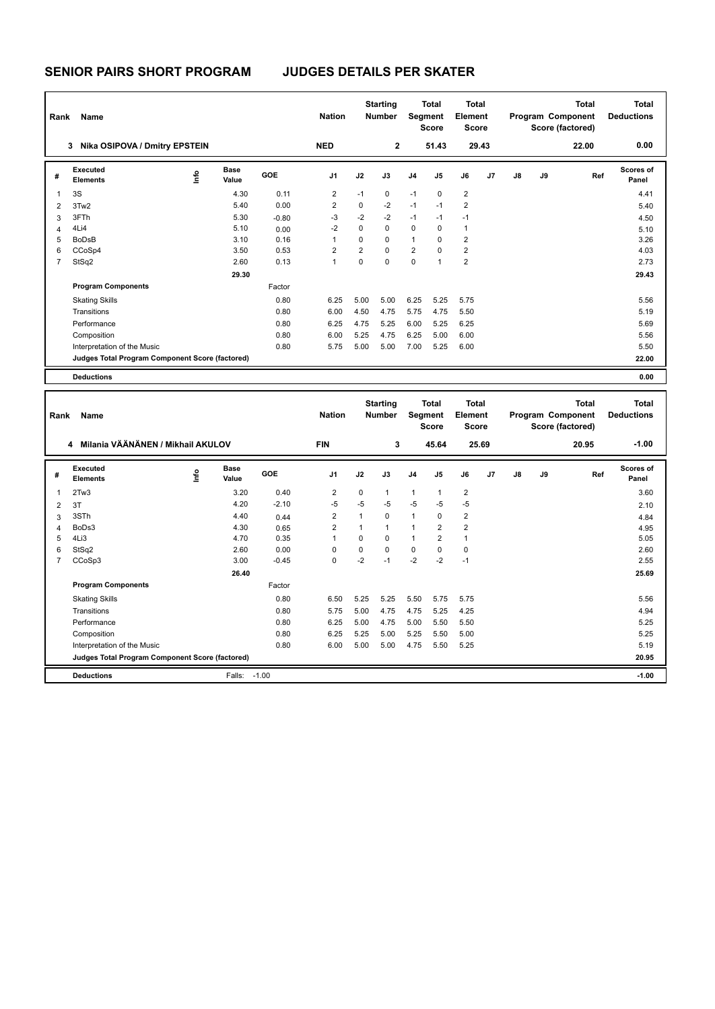| Rank           | Name                                            |    |                      |            | <b>Nation</b>  |                | <b>Starting</b><br><b>Number</b> | Segment        | <b>Total</b><br><b>Score</b> | Total<br>Element<br><b>Score</b> |       |    |    | Total<br>Program Component<br>Score (factored) | <b>Total</b><br><b>Deductions</b> |
|----------------|-------------------------------------------------|----|----------------------|------------|----------------|----------------|----------------------------------|----------------|------------------------------|----------------------------------|-------|----|----|------------------------------------------------|-----------------------------------|
|                | Nika OSIPOVA / Dmitry EPSTEIN<br>3              |    |                      |            | <b>NED</b>     |                | $\overline{2}$                   |                | 51.43                        |                                  | 29.43 |    |    | 22.00                                          | 0.00                              |
| #              | Executed<br><b>Elements</b>                     | ١m | <b>Base</b><br>Value | <b>GOE</b> | J <sub>1</sub> | J2             | J3                               | J <sub>4</sub> | J <sub>5</sub>               | J6                               | J7    | J8 | J9 | Ref                                            | <b>Scores of</b><br>Panel         |
| $\overline{1}$ | 3S                                              |    | 4.30                 | 0.11       | 2              | $-1$           | $\mathbf 0$                      | $-1$           | 0                            | $\overline{2}$                   |       |    |    |                                                | 4.41                              |
| $\overline{2}$ | 3Tw2                                            |    | 5.40                 | 0.00       | $\overline{2}$ | $\Omega$       | $-2$                             | $-1$           | $-1$                         | $\overline{2}$                   |       |    |    |                                                | 5.40                              |
| 3              | 3FTh                                            |    | 5.30                 | $-0.80$    | $-3$           | $-2$           | $-2$                             | $-1$           | $-1$                         | $-1$                             |       |    |    |                                                | 4.50                              |
| 4              | 4Li4                                            |    | 5.10                 | 0.00       | $-2$           | 0              | $\mathbf 0$                      | $\mathbf 0$    | $\Omega$                     | $\mathbf{1}$                     |       |    |    |                                                | 5.10                              |
| 5              | <b>BoDsB</b>                                    |    | 3.10                 | 0.16       | 1              | $\Omega$       | $\Omega$                         | $\mathbf{1}$   | $\Omega$                     | $\overline{2}$                   |       |    |    |                                                | 3.26                              |
| 6              | CCoSp4                                          |    | 3.50                 | 0.53       | $\overline{2}$ | $\overline{2}$ | $\Omega$                         | $\overline{2}$ | $\Omega$                     | $\overline{2}$                   |       |    |    |                                                | 4.03                              |
| 7              | StSq2                                           |    | 2.60                 | 0.13       | 1              | 0              | $\Omega$                         | $\mathbf 0$    | $\overline{1}$               | $\overline{2}$                   |       |    |    |                                                | 2.73                              |
|                |                                                 |    | 29.30                |            |                |                |                                  |                |                              |                                  |       |    |    |                                                | 29.43                             |
|                | <b>Program Components</b>                       |    |                      | Factor     |                |                |                                  |                |                              |                                  |       |    |    |                                                |                                   |
|                | <b>Skating Skills</b>                           |    |                      | 0.80       | 6.25           | 5.00           | 5.00                             | 6.25           | 5.25                         | 5.75                             |       |    |    |                                                | 5.56                              |
|                | Transitions                                     |    |                      | 0.80       | 6.00           | 4.50           | 4.75                             | 5.75           | 4.75                         | 5.50                             |       |    |    |                                                | 5.19                              |
|                | Performance                                     |    |                      | 0.80       | 6.25           | 4.75           | 5.25                             | 6.00           | 5.25                         | 6.25                             |       |    |    |                                                | 5.69                              |
|                | Composition                                     |    |                      | 0.80       | 6.00           | 5.25           | 4.75                             | 6.25           | 5.00                         | 6.00                             |       |    |    |                                                | 5.56                              |
|                | Interpretation of the Music                     |    |                      | 0.80       | 5.75           | 5.00           | 5.00                             | 7.00           | 5.25                         | 6.00                             |       |    |    |                                                | 5.50                              |
|                | Judges Total Program Component Score (factored) |    |                      |            |                |                |                                  |                |                              |                                  |       |    |    |                                                | 22.00                             |
|                | <b>Deductions</b>                               |    |                      |            |                |                |                                  |                |                              |                                  |       |    |    |                                                | 0.00                              |

| Rank           | Name                                            |            |                      |         | <b>Nation</b>  |          | <b>Starting</b><br><b>Number</b> | Segment        | <b>Total</b><br><b>Score</b> | <b>Total</b><br>Element<br><b>Score</b> |       |    |    | <b>Total</b><br>Program Component<br>Score (factored) | Total<br><b>Deductions</b> |
|----------------|-------------------------------------------------|------------|----------------------|---------|----------------|----------|----------------------------------|----------------|------------------------------|-----------------------------------------|-------|----|----|-------------------------------------------------------|----------------------------|
|                | Milania VÄÄNÄNEN / Mikhail AKULOV<br>4          |            |                      |         | <b>FIN</b>     |          | 3                                |                | 45.64                        |                                         | 25.69 |    |    | 20.95                                                 | $-1.00$                    |
| #              | <b>Executed</b><br><b>Elements</b>              | <b>Lin</b> | <b>Base</b><br>Value | GOE     | J <sub>1</sub> | J2       | J3                               | J <sub>4</sub> | J <sub>5</sub>               | J6                                      | J7    | J8 | J9 | Ref                                                   | Scores of<br>Panel         |
| 1              | 2Tw3                                            |            | 3.20                 | 0.40    | 2              | $\Omega$ | 1                                | $\overline{1}$ | $\mathbf 1$                  | $\overline{2}$                          |       |    |    |                                                       | 3.60                       |
| 2              | 3T                                              |            | 4.20                 | $-2.10$ | $-5$           | $-5$     | $-5$                             | $-5$           | $-5$                         | $-5$                                    |       |    |    |                                                       | 2.10                       |
| 3              | 3STh                                            |            | 4.40                 | 0.44    | 2              |          | 0                                | $\overline{1}$ | 0                            | $\overline{2}$                          |       |    |    |                                                       | 4.84                       |
| 4              | BoDs3                                           |            | 4.30                 | 0.65    | 2              |          | 1                                | 1              | 2                            | $\overline{2}$                          |       |    |    |                                                       | 4.95                       |
| 5              | 4Li3                                            |            | 4.70                 | 0.35    | $\mathbf{1}$   | $\Omega$ | $\Omega$                         | $\overline{1}$ | 2                            | $\mathbf{1}$                            |       |    |    |                                                       | 5.05                       |
| 6              | StSq2                                           |            | 2.60                 | 0.00    | 0              | $\Omega$ | $\Omega$                         | $\mathbf 0$    | $\Omega$                     | $\mathbf 0$                             |       |    |    |                                                       | 2.60                       |
| $\overline{7}$ | CCoSp3                                          |            | 3.00                 | $-0.45$ | $\mathbf 0$    | $-2$     | $-1$                             | $-2$           | $-2$                         | $-1$                                    |       |    |    |                                                       | 2.55                       |
|                |                                                 |            | 26.40                |         |                |          |                                  |                |                              |                                         |       |    |    |                                                       | 25.69                      |
|                | <b>Program Components</b>                       |            |                      | Factor  |                |          |                                  |                |                              |                                         |       |    |    |                                                       |                            |
|                | <b>Skating Skills</b>                           |            |                      | 0.80    | 6.50           | 5.25     | 5.25                             | 5.50           | 5.75                         | 5.75                                    |       |    |    |                                                       | 5.56                       |
|                | Transitions                                     |            |                      | 0.80    | 5.75           | 5.00     | 4.75                             | 4.75           | 5.25                         | 4.25                                    |       |    |    |                                                       | 4.94                       |
|                | Performance                                     |            |                      | 0.80    | 6.25           | 5.00     | 4.75                             | 5.00           | 5.50                         | 5.50                                    |       |    |    |                                                       | 5.25                       |
|                | Composition                                     |            |                      | 0.80    | 6.25           | 5.25     | 5.00                             | 5.25           | 5.50                         | 5.00                                    |       |    |    |                                                       | 5.25                       |
|                | Interpretation of the Music                     |            |                      | 0.80    | 6.00           | 5.00     | 5.00                             | 4.75           | 5.50                         | 5.25                                    |       |    |    |                                                       | 5.19                       |
|                | Judges Total Program Component Score (factored) |            |                      |         |                |          |                                  |                |                              |                                         |       |    |    |                                                       | 20.95                      |
|                | <b>Deductions</b>                               |            | Falls:               | $-1.00$ |                |          |                                  |                |                              |                                         |       |    |    |                                                       | $-1.00$                    |